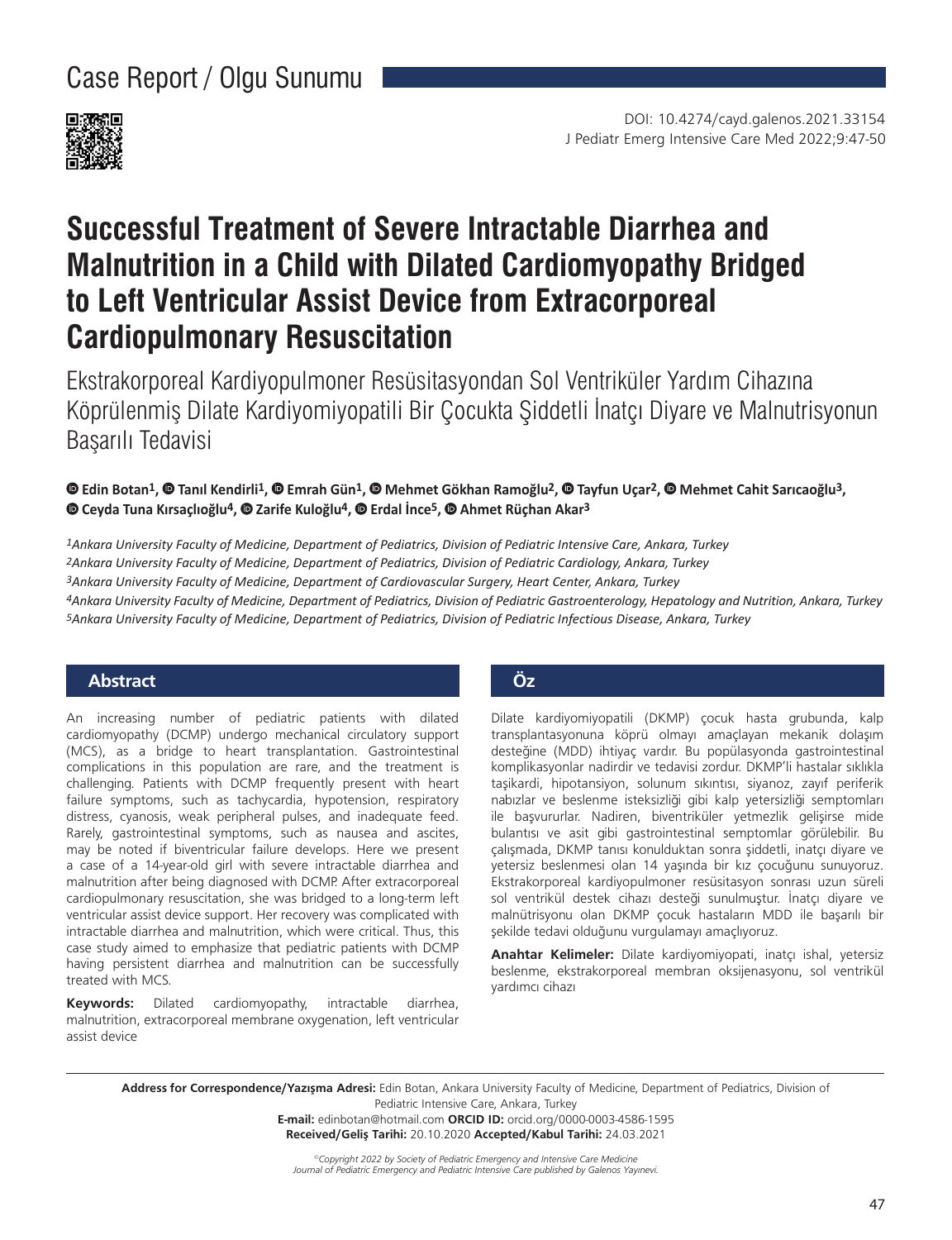

# **Successful Treatment of Severe Intractable Diarrhea and Malnutrition in a Child with Dilated Cardiomyopathy Bridged to Left Ventricular Assist Device from Extracorporeal Cardiopulmonary Resuscitation**

Ekstrakorporeal Kardiyopulmoner Resüsitasyondan Sol Ventriküler Yardım Cihazına Köprülenmiş Dilate Kardiyomiyopatili Bir Çocukta Şiddetli İnatçı Diyare ve Malnutrisyonun Başarılı Tedavisi

**Edin Botan1, Tanıl Kendirli1, Emrah Gün1, Mehmet Gökhan Ramoğlu2, Tayfun Uçar2,Mehmet Cahit Sarıcaoğlu3, Ceyda Tuna Kırsaçlıoğlu4,Zarife Kuloğlu4,Erdal İnce5, Ahmet Rüçhan Akar3**

*Ankara University Faculty of Medicine, Department of Pediatrics, Division of Pediatric Intensive Care, Ankara, Turkey Ankara University Faculty of Medicine, Department of Pediatrics, Division of Pediatric Cardiology, Ankara, Turkey Ankara University Faculty of Medicine, Department of Cardiovascular Surgery, Heart Center, Ankara, Turkey Ankara University Faculty of Medicine, Department of Pediatrics, Division of Pediatric Gastroenterology, Hepatology and Nutrition, Ankara, Turkey Ankara University Faculty of Medicine, Department of Pediatrics, Division of Pediatric Infectious Disease, Ankara, Turkey*

## **Abstract Öz**

An increasing number of pediatric patients with dilated cardiomyopathy (DCMP) undergo mechanical circulatory support (MCS), as a bridge to heart transplantation. Gastrointestinal complications in this population are rare, and the treatment is challenging. Patients with DCMP frequently present with heart failure symptoms, such as tachycardia, hypotension, respiratory distress, cyanosis, weak peripheral pulses, and inadequate feed. Rarely, gastrointestinal symptoms, such as nausea and ascites, may be noted if biventricular failure develops. Here we present a case of a 14-year-old girl with severe intractable diarrhea and malnutrition after being diagnosed with DCMP. After extracorporeal cardiopulmonary resuscitation, she was bridged to a long-term left ventricular assist device support. Her recovery was complicated with intractable diarrhea and malnutrition, which were critical. Thus, this case study aimed to emphasize that pediatric patients with DCMP having persistent diarrhea and malnutrition can be successfully treated with MCS.

**Keywords:** Dilated cardiomyopathy, intractable diarrhea, malnutrition, extracorporeal membrane oxygenation, left ventricular assist device

Dilate kardiyomiyopatili (DKMP) çocuk hasta grubunda, kalp transplantasyonuna köprü olmayı amaçlayan mekanik dolaşım desteğine (MDD) ihtiyaç vardır. Bu popülasyonda gastrointestinal komplikasyonlar nadirdir ve tedavisi zordur. DKMP'li hastalar sıklıkla taşikardi, hipotansiyon, solunum sıkıntısı, siyanoz, zayıf periferik nabızlar ve beslenme isteksizliği gibi kalp yetersizliği semptomları ile başvururlar. Nadiren, biventriküler yetmezlik gelişirse mide bulantısı ve asit gibi gastrointestinal semptomlar görülebilir. Bu çalışmada, DKMP tanısı konulduktan sonra şiddetli, inatçı diyare ve yetersiz beslenmesi olan 14 yaşında bir kız çocuğunu sunuyoruz. Ekstrakorporeal kardiyopulmoner resüsitasyon sonrası uzun süreli sol ventrikül destek cihazı desteği sunulmuştur. İnatçı diyare ve malnütrisyonu olan DKMP çocuk hastaların MDD ile başarılı bir şekilde tedavi olduğunu vurgulamayı amaçlıyoruz.

**Anahtar Kelimeler:** Dilate kardiyomiyopati, inatçı ishal, yetersiz beslenme, ekstrakorporeal membran oksijenasyonu, sol ventrikül yardımcı cihazı

**Address for Correspondence/Yazışma Adresi:** Edin Botan, Ankara University Faculty of Medicine, Department of Pediatrics, Division of Pediatric Intensive Care, Ankara, Turkey

> **E-mail:** edinbotan@hotmail.com **ORCID ID:** orcid.org/0000-0003-4586-1595 **Received/Geliş Tarihi:** 20.10.2020 **Accepted/Kabul Tarihi:** 24.03.2021

*©Copyright 2022 by Society of Pediatric Emergency and Intensive Care Medicine Journal of Pediatric Emergency and Pediatric Intensive Care published by Galenos Yayınevi.*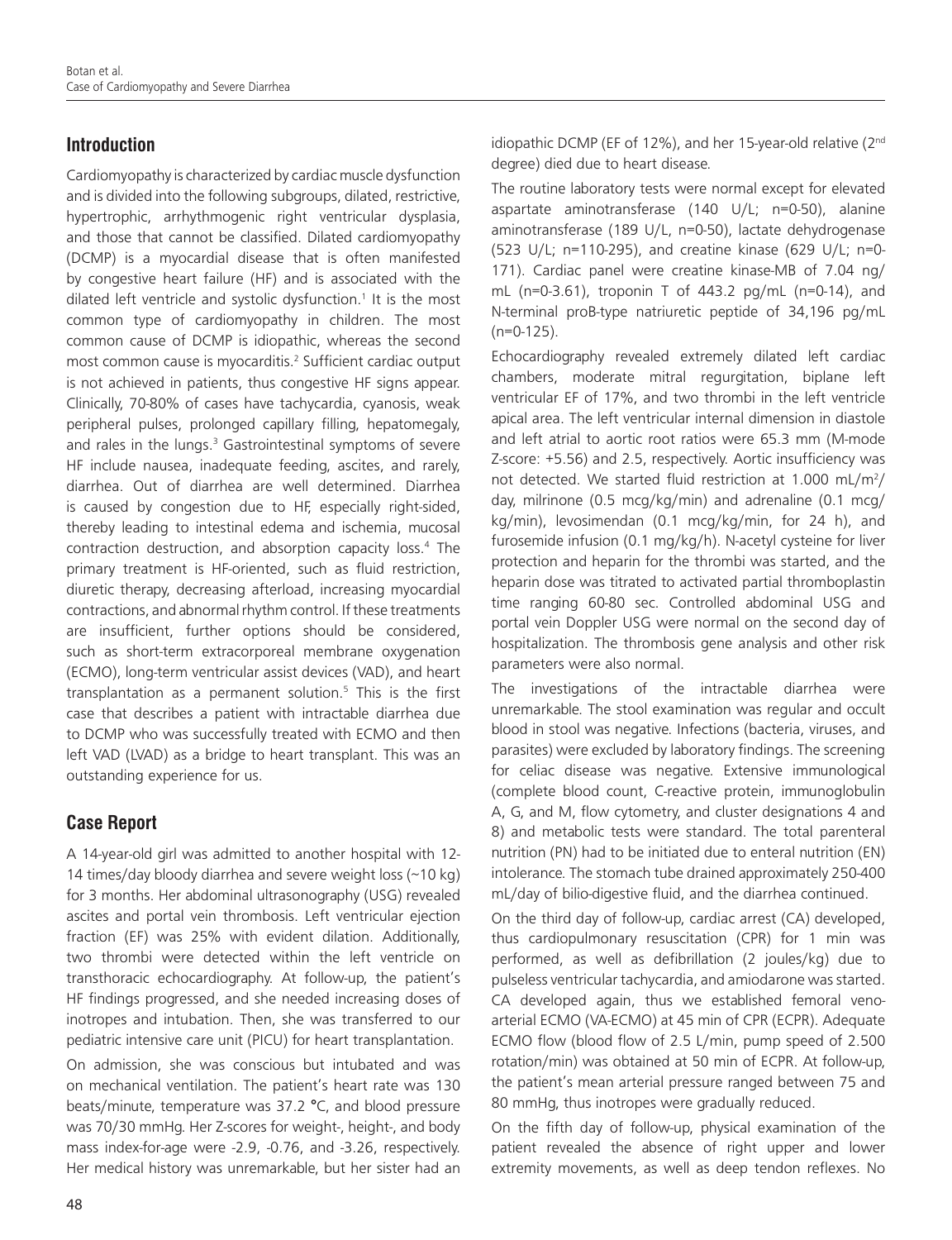# **Introduction**

Cardiomyopathy is characterized by cardiac muscle dysfunction and is divided into the following subgroups, dilated, restrictive, hypertrophic, arrhythmogenic right ventricular dysplasia, and those that cannot be classified. Dilated cardiomyopathy (DCMP) is a myocardial disease that is often manifested by congestive heart failure (HF) and is associated with the dilated left ventricle and systolic dysfunction.<sup>1</sup> It is the most common type of cardiomyopathy in children. The most common cause of DCMP is idiopathic, whereas the second most common cause is myocarditis.<sup>2</sup> Sufficient cardiac output is not achieved in patients, thus congestive HF signs appear. Clinically, 70-80% of cases have tachycardia, cyanosis, weak peripheral pulses, prolonged capillary filling, hepatomegaly, and rales in the lungs.<sup>3</sup> Gastrointestinal symptoms of severe HF include nausea, inadequate feeding, ascites, and rarely, diarrhea. Out of diarrhea are well determined. Diarrhea is caused by congestion due to HF, especially right-sided, thereby leading to intestinal edema and ischemia, mucosal contraction destruction, and absorption capacity loss.<sup>4</sup> The primary treatment is HF-oriented, such as fluid restriction, diuretic therapy, decreasing afterload, increasing myocardial contractions, and abnormal rhythm control. If these treatments are insufficient, further options should be considered, such as short-term extracorporeal membrane oxygenation (ECMO), long-term ventricular assist devices (VAD), and heart transplantation as a permanent solution.<sup>5</sup> This is the first case that describes a patient with intractable diarrhea due to DCMP who was successfully treated with ECMO and then left VAD (LVAD) as a bridge to heart transplant. This was an outstanding experience for us.

# **Case Report**

A 14-year-old girl was admitted to another hospital with 12- 14 times/day bloody diarrhea and severe weight loss (~10 kg) for 3 months. Her abdominal ultrasonography (USG) revealed ascites and portal vein thrombosis. Left ventricular ejection fraction (EF) was 25% with evident dilation. Additionally, two thrombi were detected within the left ventricle on transthoracic echocardiography. At follow-up, the patient's HF findings progressed, and she needed increasing doses of inotropes and intubation. Then, she was transferred to our pediatric intensive care unit (PICU) for heart transplantation.

On admission, she was conscious but intubated and was on mechanical ventilation. The patient's heart rate was 130 beats/minute, temperature was 37.2 **°**C, and blood pressure was 70/30 mmHg. Her Z-scores for weight-, height-, and body mass index-for-age were -2.9, -0.76, and -3.26, respectively. Her medical history was unremarkable, but her sister had an idiopathic DCMP (EF of 12%), and her 15-year-old relative (2<sup>nd</sup> degree) died due to heart disease.

The routine laboratory tests were normal except for elevated aspartate aminotransferase (140 U/L; n=0-50), alanine aminotransferase (189 U/L, n=0-50), lactate dehydrogenase (523 U/L; n=110-295), and creatine kinase (629 U/L; n=0- 171). Cardiac panel were creatine kinase-MB of 7.04 ng/ mL (n=0-3.61), troponin T of 443.2 pg/mL (n=0-14), and N-terminal proB-type natriuretic peptide of 34,196 pg/mL (n=0-125).

Echocardiography revealed extremely dilated left cardiac chambers, moderate mitral regurgitation, biplane left ventricular EF of 17%, and two thrombi in the left ventricle apical area. The left ventricular internal dimension in diastole and left atrial to aortic root ratios were 65.3 mm (M-mode Z-score: +5.56) and 2.5, respectively. Aortic insufficiency was not detected. We started fluid restriction at 1.000 mL/m<sup>2</sup>/ day, milrinone (0.5 mcg/kg/min) and adrenaline (0.1 mcg/ kg/min), levosimendan (0.1 mcg/kg/min, for 24 h), and furosemide infusion (0.1 mg/kg/h). N-acetyl cysteine for liver protection and heparin for the thrombi was started, and the heparin dose was titrated to activated partial thromboplastin time ranging 60-80 sec. Controlled abdominal USG and portal vein Doppler USG were normal on the second day of hospitalization. The thrombosis gene analysis and other risk parameters were also normal.

The investigations of the intractable diarrhea were unremarkable. The stool examination was regular and occult blood in stool was negative. Infections (bacteria, viruses, and parasites) were excluded by laboratory findings. The screening for celiac disease was negative. Extensive immunological (complete blood count, C-reactive protein, immunoglobulin A, G, and M, flow cytometry, and cluster designations 4 and 8) and metabolic tests were standard. The total parenteral nutrition (PN) had to be initiated due to enteral nutrition (EN) intolerance. The stomach tube drained approximately 250-400 mL/day of bilio-digestive fluid, and the diarrhea continued.

On the third day of follow-up, cardiac arrest (CA) developed, thus cardiopulmonary resuscitation (CPR) for 1 min was performed, as well as defibrillation (2 joules/kg) due to pulseless ventricular tachycardia, and amiodarone was started. CA developed again, thus we established femoral venoarterial ECMO (VA-ECMO) at 45 min of CPR (ECPR). Adequate ECMO flow (blood flow of 2.5 L/min, pump speed of 2.500 rotation/min) was obtained at 50 min of ECPR. At follow-up, the patient's mean arterial pressure ranged between 75 and 80 mmHg, thus inotropes were gradually reduced.

On the fifth day of follow-up, physical examination of the patient revealed the absence of right upper and lower extremity movements, as well as deep tendon reflexes. No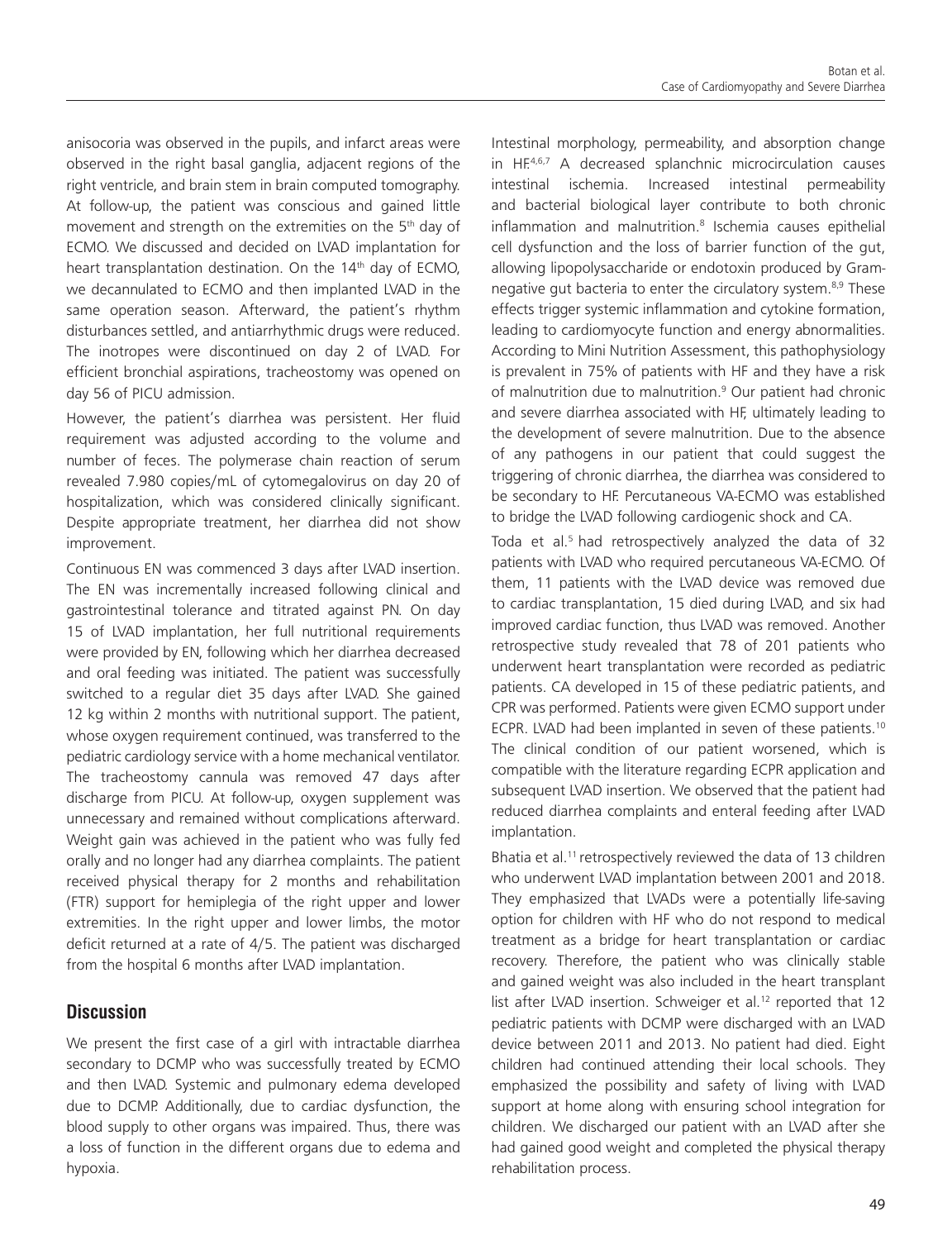anisocoria was observed in the pupils, and infarct areas were observed in the right basal ganglia, adjacent regions of the right ventricle, and brain stem in brain computed tomography. At follow-up, the patient was conscious and gained little movement and strength on the extremities on the 5<sup>th</sup> day of ECMO. We discussed and decided on LVAD implantation for heart transplantation destination. On the 14<sup>th</sup> day of ECMO, we decannulated to ECMO and then implanted LVAD in the same operation season. Afterward, the patient's rhythm disturbances settled, and antiarrhythmic drugs were reduced. The inotropes were discontinued on day 2 of LVAD. For efficient bronchial aspirations, tracheostomy was opened on day 56 of PICU admission.

However, the patient's diarrhea was persistent. Her fluid requirement was adjusted according to the volume and number of feces. The polymerase chain reaction of serum revealed 7.980 copies/mL of cytomegalovirus on day 20 of hospitalization, which was considered clinically significant. Despite appropriate treatment, her diarrhea did not show improvement.

Continuous EN was commenced 3 days after LVAD insertion. The EN was incrementally increased following clinical and gastrointestinal tolerance and titrated against PN. On day 15 of LVAD implantation, her full nutritional requirements were provided by EN, following which her diarrhea decreased and oral feeding was initiated. The patient was successfully switched to a regular diet 35 days after LVAD. She gained 12 kg within 2 months with nutritional support. The patient, whose oxygen requirement continued, was transferred to the pediatric cardiology service with a home mechanical ventilator. The tracheostomy cannula was removed 47 days after discharge from PICU. At follow-up, oxygen supplement was unnecessary and remained without complications afterward. Weight gain was achieved in the patient who was fully fed orally and no longer had any diarrhea complaints. The patient received physical therapy for 2 months and rehabilitation (FTR) support for hemiplegia of the right upper and lower extremities. In the right upper and lower limbs, the motor deficit returned at a rate of 4/5. The patient was discharged from the hospital 6 months after LVAD implantation.

### **Discussion**

We present the first case of a girl with intractable diarrhea secondary to DCMP who was successfully treated by ECMO and then LVAD. Systemic and pulmonary edema developed due to DCMP. Additionally, due to cardiac dysfunction, the blood supply to other organs was impaired. Thus, there was a loss of function in the different organs due to edema and hypoxia.

Intestinal morphology, permeability, and absorption change in HE<sup>4,6,7</sup> A decreased splanchnic microcirculation causes intestinal ischemia. Increased intestinal permeability and bacterial biological layer contribute to both chronic inflammation and malnutrition.8 Ischemia causes epithelial cell dysfunction and the loss of barrier function of the gut, allowing lipopolysaccharide or endotoxin produced by Gramnegative gut bacteria to enter the circulatory system.<sup>8,9</sup> These effects trigger systemic inflammation and cytokine formation, leading to cardiomyocyte function and energy abnormalities. According to Mini Nutrition Assessment, this pathophysiology is prevalent in 75% of patients with HF and they have a risk of malnutrition due to malnutrition.<sup>9</sup> Our patient had chronic and severe diarrhea associated with HF, ultimately leading to the development of severe malnutrition. Due to the absence of any pathogens in our patient that could suggest the triggering of chronic diarrhea, the diarrhea was considered to be secondary to HF. Percutaneous VA-ECMO was established to bridge the LVAD following cardiogenic shock and CA.

Toda et al.<sup>5</sup> had retrospectively analyzed the data of 32 patients with LVAD who required percutaneous VA-ECMO. Of them, 11 patients with the LVAD device was removed due to cardiac transplantation, 15 died during LVAD, and six had improved cardiac function, thus LVAD was removed. Another retrospective study revealed that 78 of 201 patients who underwent heart transplantation were recorded as pediatric patients. CA developed in 15 of these pediatric patients, and CPR was performed. Patients were given ECMO support under ECPR. LVAD had been implanted in seven of these patients.<sup>10</sup> The clinical condition of our patient worsened, which is compatible with the literature regarding ECPR application and subsequent LVAD insertion. We observed that the patient had reduced diarrhea complaints and enteral feeding after LVAD implantation.

Bhatia et al.<sup>11</sup> retrospectively reviewed the data of 13 children who underwent LVAD implantation between 2001 and 2018. They emphasized that LVADs were a potentially life-saving option for children with HF who do not respond to medical treatment as a bridge for heart transplantation or cardiac recovery. Therefore, the patient who was clinically stable and gained weight was also included in the heart transplant list after LVAD insertion. Schweiger et al.<sup>12</sup> reported that 12 pediatric patients with DCMP were discharged with an LVAD device between 2011 and 2013. No patient had died. Eight children had continued attending their local schools. They emphasized the possibility and safety of living with LVAD support at home along with ensuring school integration for children. We discharged our patient with an LVAD after she had gained good weight and completed the physical therapy rehabilitation process.